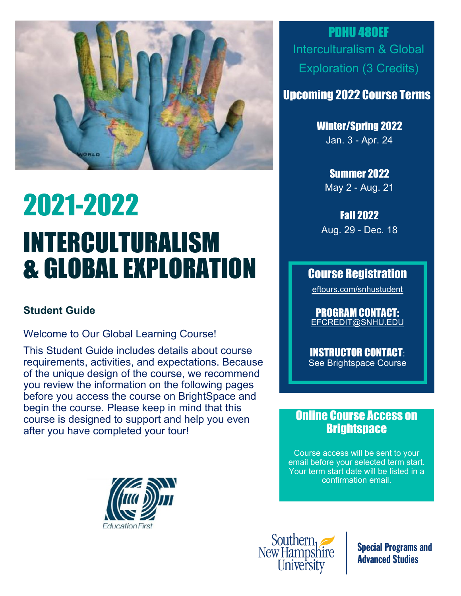

# 2021-2022 INTERCULTURALISM & GLOBAL EXPLORATION

#### **Student Guide**

Welcome to Our Global Learning Course!

This Student Guide includes details about course requirements, activities, and expectations. Because of the unique design of the course, we recommend you review the information on the following pages before you access the course on BrightSpace and begin the course. Please keep in mind that this course is designed to support and help you even after you have completed your tour!

PDHU 480EF Interculturalism & Global Exploration (3 Credits)

## Upcoming 2022 Course Terms

Winter/Spring 2022 Jan. 3 - Apr. 24

Summer 2022 May 2 - Aug. 21

Fall 2022 Aug. 29 - Dec. 18

### Course Registration

eftours.com/snhustudent

PROGRAM CONTACT: EFCREDIT@SNHU.EDU

INSTRUCTOR CONTACT: See Brightspace Course

## Online Course Access on **Brightspace**

Course access will be sent to your email before your selected term start. Your term start date will be listed in a confirmation email.





**Special Programs and Advanced Studies**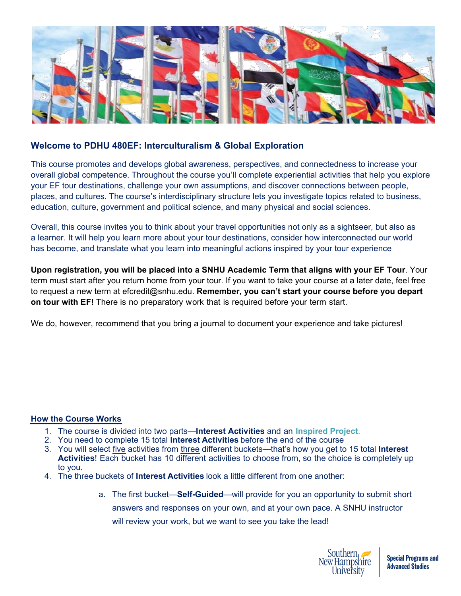

#### **Welcome to PDHU 480EF: Interculturalism & Global Exploration**

This course promotes and develops global awareness, perspectives, and connectedness to increase your overall global competence. Throughout the course you'll complete experiential activities that help you explore your EF tour destinations, challenge your own assumptions, and discover connections between people, places, and cultures. The course's interdisciplinary structure lets you investigate topics related to business, education, culture, government and political science, and many physical and social sciences.

Overall, this course invites you to think about your travel opportunities not only as a sightseer, but also as a learner. It will help you learn more about your tour destinations, consider how interconnected our world has become, and translate what you learn into meaningful actions inspired by your tour experience

**Upon registration, you will be placed into a SNHU Academic Term that aligns with your EF Tour**. Your term must start after you return home from your tour. If you want to take your course at a later date, feel free to request a new term at efcredit@snhu.edu. **Remember, you can't start your course before you depart on tour with EF!** There is no preparatory work that is required before your term start.

We do, however, recommend that you bring a journal to document your experience and take pictures!

#### **How the Course Works**

- 1. The course is divided into two parts—**Interest Activities** and an **Inspired Project**.
- 2. You need to complete 15 total **Interest Activities** before the end of the course
- 3. You will select five activities from three different buckets—that's how you get to 15 total **Interest Activities**! Each bucket has 10 different activities to choose from, so the choice is completely up to you.
- 4. The three buckets of **Interest Activities** look a little different from one another:
	- a. The first bucket—**Self-Guided**—will provide for you an opportunity to submit short answers and responses on your own, and at your own pace. A SNHU instructor will review your work, but we want to see you take the lead!

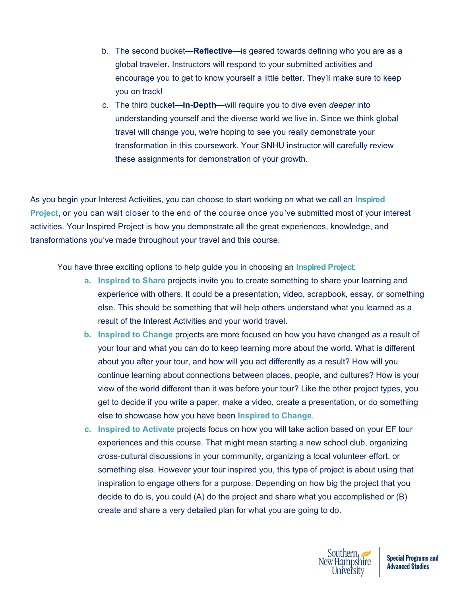- b. The second bucket—**Reflective**—is geared towards defining who you are as a global traveler. Instructors will respond to your submitted activities and encourage you to get to know yourself a little better. They'll make sure to keep you on track!
- c. The third bucket—**In-Depth**—will require you to dive even *deeper* into understanding yourself and the diverse world we live in. Since we think global travel will change you, we're hoping to see you really demonstrate your transformation in this coursework. Your SNHU instructor will carefully review these assignments for demonstration of your growth.

As you begin your Interest Activities, you can choose to start working on what we call an **Inspired Project**, or you can wait closer to the end of the course once you've submitted most of your interest activities. Your Inspired Project is how you demonstrate all the great experiences, knowledge, and transformations you've made throughout your travel and this course.

You have three exciting options to help guide you in choosing an **Inspired Project**:

- **a. Inspired to Share** projects invite you to create something to share your learning and experience with others. It could be a presentation, video, scrapbook, essay, or something else. This should be something that will help others understand what you learned as a result of the Interest Activities and your world travel.
- **b. Inspired to Change** projects are more focused on how you have changed as a result of your tour and what you can do to keep learning more about the world. What is different about you after your tour, and how will you act differently as a result? How will you continue learning about connections between places, people, and cultures? How is your view of the world different than it was before your tour? Like the other project types, you get to decide if you write a paper, make a video, create a presentation, or do something else to showcase how you have been **Inspired to Change**.
- **c. Inspired to Activate** projects focus on how you will take action based on your EF tour experiences and this course. That might mean starting a new school club, organizing cross-cultural discussions in your community, organizing a local volunteer effort, or something else. However your tour inspired you, this type of project is about using that inspiration to engage others for a purpose. Depending on how big the project that you decide to do is, you could (A) do the project and share what you accomplished or (B) create and share a very detailed plan for what you are going to do.